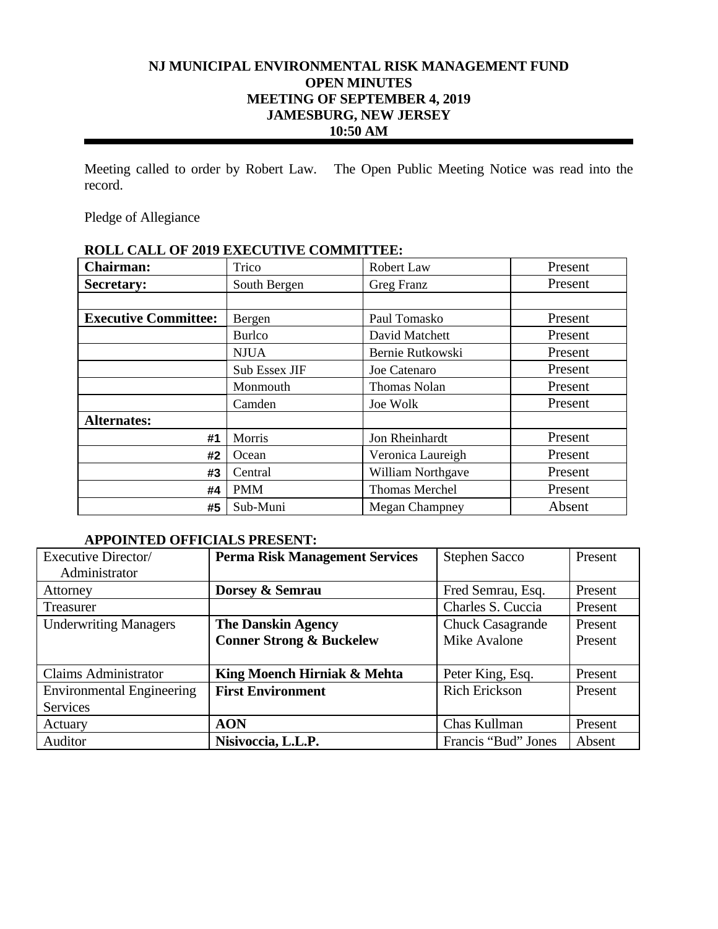# **NJ MUNICIPAL ENVIRONMENTAL RISK MANAGEMENT FUND OPEN MINUTES MEETING OF SEPTEMBER 4, 2019 JAMESBURG, NEW JERSEY 10:50 AM**

Meeting called to order by Robert Law. The Open Public Meeting Notice was read into the record.

Pledge of Allegiance

# **ROLL CALL OF 2019 EXECUTIVE COMMITTEE:**

| <b>Chairman:</b>            | Trico         | Robert Law            | Present |
|-----------------------------|---------------|-----------------------|---------|
| <b>Secretary:</b>           | South Bergen  | Greg Franz            | Present |
|                             |               |                       |         |
| <b>Executive Committee:</b> | Bergen        | Paul Tomasko          | Present |
|                             | <b>Burlco</b> | David Matchett        | Present |
|                             | <b>NJUA</b>   | Bernie Rutkowski      | Present |
|                             | Sub Essex JIF | Joe Catenaro          | Present |
|                             | Monmouth      | <b>Thomas Nolan</b>   | Present |
|                             | Camden        | Joe Wolk              | Present |
| <b>Alternates:</b>          |               |                       |         |
| #1                          | Morris        | Jon Rheinhardt        | Present |
| #2                          | Ocean         | Veronica Laureigh     | Present |
| #3                          | Central       | William Northgave     | Present |
| #4                          | <b>PMM</b>    | <b>Thomas Merchel</b> | Present |
| #5                          | Sub-Muni      | <b>Megan Champney</b> | Absent  |

# **APPOINTED OFFICIALS PRESENT:**

| Executive Director/              | <b>Perma Risk Management Services</b> | <b>Stephen Sacco</b>    | Present |
|----------------------------------|---------------------------------------|-------------------------|---------|
| Administrator                    |                                       |                         |         |
| Attorney                         | Dorsey & Semrau                       | Fred Semrau, Esq.       | Present |
| Treasurer                        |                                       | Charles S. Cuccia       | Present |
| <b>Underwriting Managers</b>     | <b>The Danskin Agency</b>             | <b>Chuck Casagrande</b> | Present |
|                                  | <b>Conner Strong &amp; Buckelew</b>   | Mike Avalone            | Present |
|                                  |                                       |                         |         |
| <b>Claims Administrator</b>      | King Moench Hirniak & Mehta           | Peter King, Esq.        | Present |
| <b>Environmental Engineering</b> | <b>First Environment</b>              | <b>Rich Erickson</b>    | Present |
| <b>Services</b>                  |                                       |                         |         |
| Actuary                          | <b>AON</b>                            | Chas Kullman            | Present |
| Auditor                          | Nisivoccia, L.L.P.                    | Francis "Bud" Jones     | Absent  |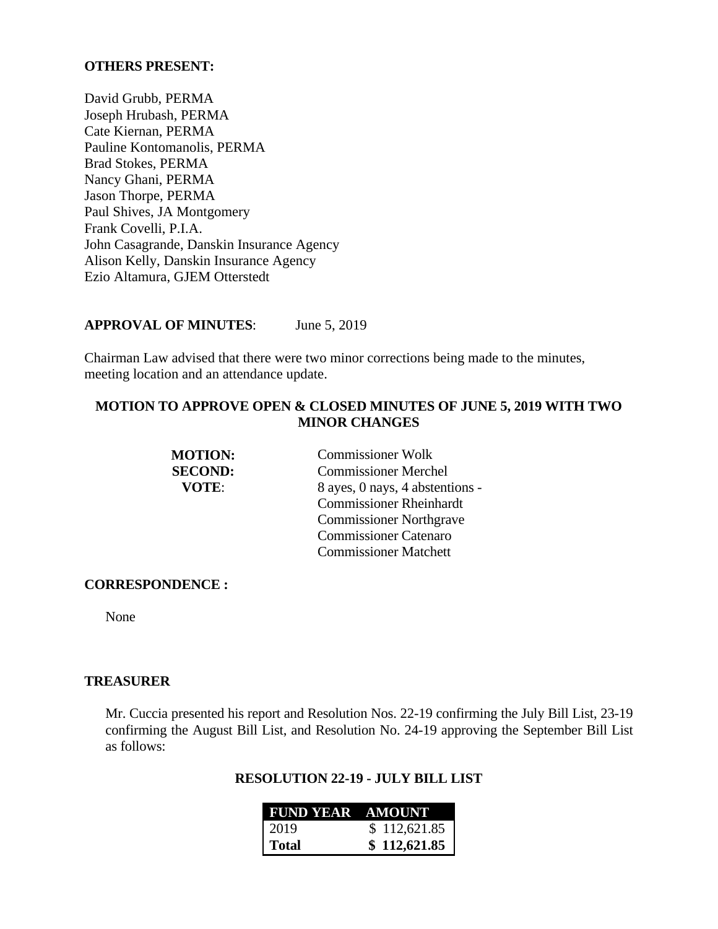#### **OTHERS PRESENT:**

David Grubb, PERMA Joseph Hrubash, PERMA Cate Kiernan, PERMA Pauline Kontomanolis, PERMA Brad Stokes, PERMA Nancy Ghani, PERMA Jason Thorpe, PERMA Paul Shives, JA Montgomery Frank Covelli, P.I.A. John Casagrande, Danskin Insurance Agency Alison Kelly, Danskin Insurance Agency Ezio Altamura, GJEM Otterstedt

#### **APPROVAL OF MINUTES**: June 5, 2019

Chairman Law advised that there were two minor corrections being made to the minutes, meeting location and an attendance update.

# **MOTION TO APPROVE OPEN & CLOSED MINUTES OF JUNE 5, 2019 WITH TWO MINOR CHANGES**

| <b>MOTION:</b> | <b>Commissioner Wolk</b>        |
|----------------|---------------------------------|
| <b>SECOND:</b> | <b>Commissioner Merchel</b>     |
| VOTE:          | 8 ayes, 0 nays, 4 abstentions - |
|                | <b>Commissioner Rheinhardt</b>  |
|                | <b>Commissioner Northgrave</b>  |
|                | <b>Commissioner Catenaro</b>    |
|                | <b>Commissioner Matchett</b>    |

#### **CORRESPONDENCE :**

None

#### **TREASURER**

Mr. Cuccia presented his report and Resolution Nos. 22-19 confirming the July Bill List, 23-19 confirming the August Bill List, and Resolution No. 24-19 approving the September Bill List as follows:

### **RESOLUTION 22-19 - JULY BILL LIST**

| <b>FUND YEAR AMOUNT</b> |              |
|-------------------------|--------------|
| 2019                    | \$112,621.85 |
| Total                   | \$112,621.85 |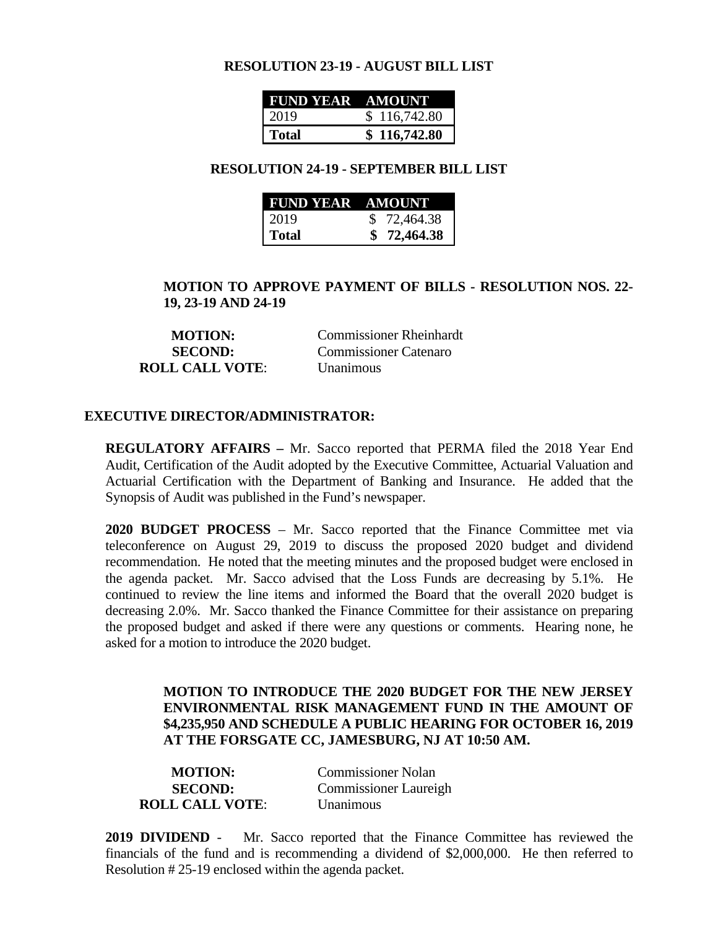#### **RESOLUTION 23-19 - AUGUST BILL LIST**

| FUND YEAR AMOUNT |              |
|------------------|--------------|
| 2019             | \$116,742.80 |
| <b>Total</b>     | \$116,742.80 |

#### **RESOLUTION 24-19 - SEPTEMBER BILL LIST**

| <b>FUND YEAR AMOUNT</b> |             |
|-------------------------|-------------|
| 2019                    | \$72,464.38 |
| Total                   | \$72,464.38 |

# **MOTION TO APPROVE PAYMENT OF BILLS - RESOLUTION NOS. 22- 19, 23-19 AND 24-19**

**MOTION:** Commissioner Rheinhardt **SECOND:** Commissioner Catenaro **ROLL CALL VOTE**: Unanimous

#### **EXECUTIVE DIRECTOR/ADMINISTRATOR:**

**REGULATORY AFFAIRS –** Mr. Sacco reported that PERMA filed the 2018 Year End Audit, Certification of the Audit adopted by the Executive Committee, Actuarial Valuation and Actuarial Certification with the Department of Banking and Insurance. He added that the Synopsis of Audit was published in the Fund's newspaper.

**2020 BUDGET PROCESS** – Mr. Sacco reported that the Finance Committee met via teleconference on August 29, 2019 to discuss the proposed 2020 budget and dividend recommendation. He noted that the meeting minutes and the proposed budget were enclosed in the agenda packet. Mr. Sacco advised that the Loss Funds are decreasing by 5.1%. He continued to review the line items and informed the Board that the overall 2020 budget is decreasing 2.0%. Mr. Sacco thanked the Finance Committee for their assistance on preparing the proposed budget and asked if there were any questions or comments. Hearing none, he asked for a motion to introduce the 2020 budget.

# **MOTION TO INTRODUCE THE 2020 BUDGET FOR THE NEW JERSEY ENVIRONMENTAL RISK MANAGEMENT FUND IN THE AMOUNT OF \$4,235,950 AND SCHEDULE A PUBLIC HEARING FOR OCTOBER 16, 2019 AT THE FORSGATE CC, JAMESBURG, NJ AT 10:50 AM.**

| <b>MOTION:</b>         | <b>Commissioner Nolan</b>    |
|------------------------|------------------------------|
| <b>SECOND:</b>         | <b>Commissioner Laureigh</b> |
| <b>ROLL CALL VOTE:</b> | <b>Unanimous</b>             |

**2019 DIVIDEND** - Mr. Sacco reported that the Finance Committee has reviewed the financials of the fund and is recommending a dividend of \$2,000,000. He then referred to Resolution # 25-19 enclosed within the agenda packet.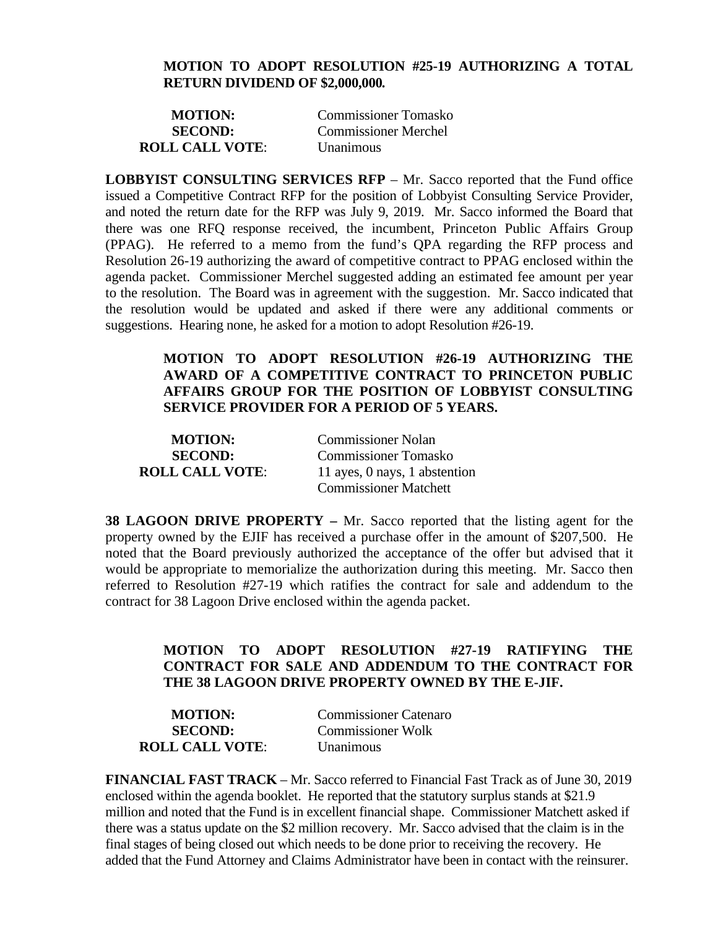#### **MOTION TO ADOPT RESOLUTION #25-19 AUTHORIZING A TOTAL RETURN DIVIDEND OF \$2,000,000***.*

| <b>MOTION:</b>         | <b>Commissioner Tomasko</b> |
|------------------------|-----------------------------|
| <b>SECOND:</b>         | <b>Commissioner Merchel</b> |
| <b>ROLL CALL VOTE:</b> | <b>Unanimous</b>            |

**LOBBYIST CONSULTING SERVICES RFP** – Mr. Sacco reported that the Fund office issued a Competitive Contract RFP for the position of Lobbyist Consulting Service Provider, and noted the return date for the RFP was July 9, 2019. Mr. Sacco informed the Board that there was one RFQ response received, the incumbent, Princeton Public Affairs Group (PPAG). He referred to a memo from the fund's QPA regarding the RFP process and Resolution 26-19 authorizing the award of competitive contract to PPAG enclosed within the agenda packet. Commissioner Merchel suggested adding an estimated fee amount per year to the resolution. The Board was in agreement with the suggestion. Mr. Sacco indicated that the resolution would be updated and asked if there were any additional comments or suggestions. Hearing none, he asked for a motion to adopt Resolution #26-19.

# **MOTION TO ADOPT RESOLUTION #26-19 AUTHORIZING THE AWARD OF A COMPETITIVE CONTRACT TO PRINCETON PUBLIC AFFAIRS GROUP FOR THE POSITION OF LOBBYIST CONSULTING SERVICE PROVIDER FOR A PERIOD OF 5 YEARS.**

| <b>MOTION:</b>         | <b>Commissioner Nolan</b>     |
|------------------------|-------------------------------|
| <b>SECOND:</b>         | <b>Commissioner Tomasko</b>   |
| <b>ROLL CALL VOTE:</b> | 11 ayes, 0 nays, 1 abstention |
|                        | <b>Commissioner Matchett</b>  |

**38 LAGOON DRIVE PROPERTY –** Mr. Sacco reported that the listing agent for the property owned by the EJIF has received a purchase offer in the amount of \$207,500. He noted that the Board previously authorized the acceptance of the offer but advised that it would be appropriate to memorialize the authorization during this meeting. Mr. Sacco then referred to Resolution #27-19 which ratifies the contract for sale and addendum to the contract for 38 Lagoon Drive enclosed within the agenda packet.

# **MOTION TO ADOPT RESOLUTION #27-19 RATIFYING THE CONTRACT FOR SALE AND ADDENDUM TO THE CONTRACT FOR THE 38 LAGOON DRIVE PROPERTY OWNED BY THE E-JIF.**

| <b>MOTION:</b>         | <b>Commissioner Catenaro</b> |
|------------------------|------------------------------|
| <b>SECOND:</b>         | <b>Commissioner Wolk</b>     |
| <b>ROLL CALL VOTE:</b> | <b>Unanimous</b>             |

**FINANCIAL FAST TRACK** – Mr. Sacco referred to Financial Fast Track as of June 30, 2019 enclosed within the agenda booklet. He reported that the statutory surplus stands at \$21.9 million and noted that the Fund is in excellent financial shape. Commissioner Matchett asked if there was a status update on the \$2 million recovery. Mr. Sacco advised that the claim is in the final stages of being closed out which needs to be done prior to receiving the recovery. He added that the Fund Attorney and Claims Administrator have been in contact with the reinsurer.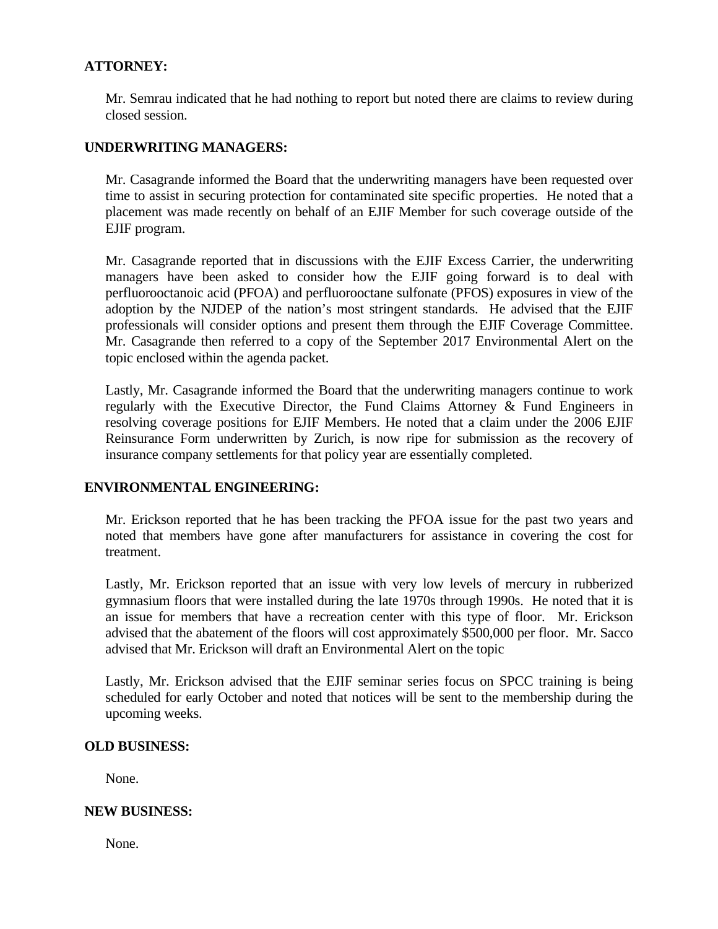# **ATTORNEY:**

Mr. Semrau indicated that he had nothing to report but noted there are claims to review during closed session.

# **UNDERWRITING MANAGERS:**

Mr. Casagrande informed the Board that the underwriting managers have been requested over time to assist in securing protection for contaminated site specific properties. He noted that a placement was made recently on behalf of an EJIF Member for such coverage outside of the EJIF program.

Mr. Casagrande reported that in discussions with the EJIF Excess Carrier, the underwriting managers have been asked to consider how the EJIF going forward is to deal with perfluorooctanoic acid (PFOA) and perfluorooctane sulfonate (PFOS) exposures in view of the adoption by the NJDEP of the nation's most stringent standards. He advised that the EJIF professionals will consider options and present them through the EJIF Coverage Committee. Mr. Casagrande then referred to a copy of the September 2017 Environmental Alert on the topic enclosed within the agenda packet.

Lastly, Mr. Casagrande informed the Board that the underwriting managers continue to work regularly with the Executive Director, the Fund Claims Attorney & Fund Engineers in resolving coverage positions for EJIF Members. He noted that a claim under the 2006 EJIF Reinsurance Form underwritten by Zurich, is now ripe for submission as the recovery of insurance company settlements for that policy year are essentially completed.

### **ENVIRONMENTAL ENGINEERING:**

Mr. Erickson reported that he has been tracking the PFOA issue for the past two years and noted that members have gone after manufacturers for assistance in covering the cost for treatment.

Lastly, Mr. Erickson reported that an issue with very low levels of mercury in rubberized gymnasium floors that were installed during the late 1970s through 1990s. He noted that it is an issue for members that have a recreation center with this type of floor. Mr. Erickson advised that the abatement of the floors will cost approximately \$500,000 per floor. Mr. Sacco advised that Mr. Erickson will draft an Environmental Alert on the topic

Lastly, Mr. Erickson advised that the EJIF seminar series focus on SPCC training is being scheduled for early October and noted that notices will be sent to the membership during the upcoming weeks.

### **OLD BUSINESS:**

None.

### **NEW BUSINESS:**

None.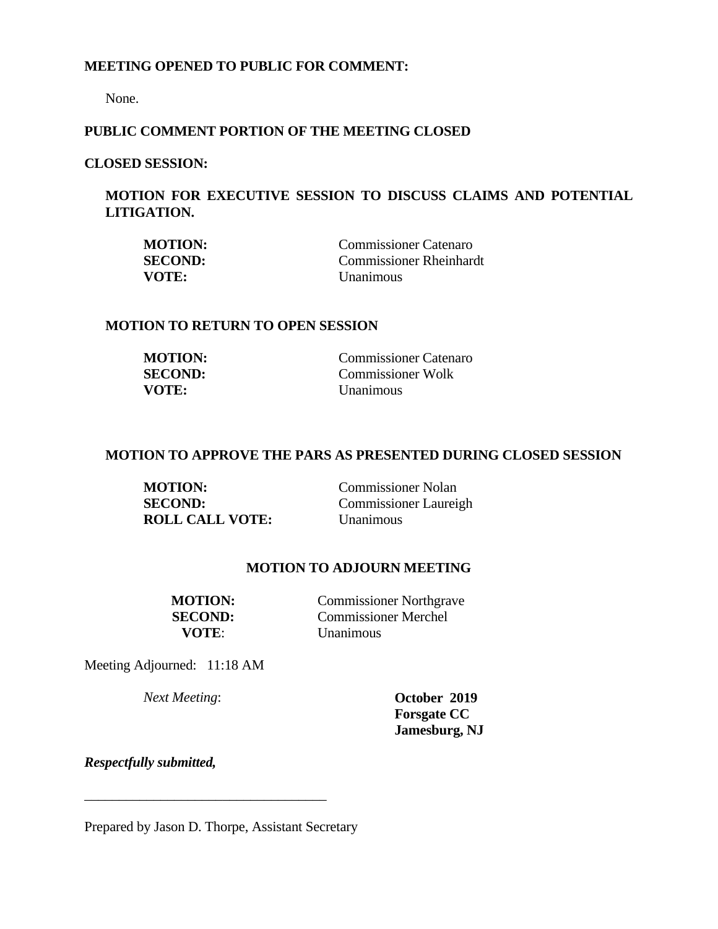### **MEETING OPENED TO PUBLIC FOR COMMENT:**

None.

# **PUBLIC COMMENT PORTION OF THE MEETING CLOSED**

# **CLOSED SESSION:**

# **MOTION FOR EXECUTIVE SESSION TO DISCUSS CLAIMS AND POTENTIAL LITIGATION.**

| <b>MOTION:</b> | <b>Commissioner Catenaro</b>   |
|----------------|--------------------------------|
| <b>SECOND:</b> | <b>Commissioner Rheinhardt</b> |
| VOTE:          | Unanimous                      |

# **MOTION TO RETURN TO OPEN SESSION**

| <b>MOTION:</b> | Commissioner Catenaro    |
|----------------|--------------------------|
| <b>SECOND:</b> | <b>Commissioner Wolk</b> |
| VOTE:          | <i>Unanimous</i>         |

# **MOTION TO APPROVE THE PARS AS PRESENTED DURING CLOSED SESSION**

| <b>MOTION:</b>         | <b>Commissioner Nolan</b>    |
|------------------------|------------------------------|
| <b>SECOND:</b>         | <b>Commissioner Laureigh</b> |
| <b>ROLL CALL VOTE:</b> | Unanimous                    |

#### **MOTION TO ADJOURN MEETING**

**MOTION:** Commissioner Northgrave **SECOND:** Commissioner Merchel **VOTE**: Unanimous

Meeting Adjourned: 11:18 AM

*Next Meeting*: **October 2019 Forsgate CC Jamesburg, NJ** 

*Respectfully submitted,*

Prepared by Jason D. Thorpe, Assistant Secretary

\_\_\_\_\_\_\_\_\_\_\_\_\_\_\_\_\_\_\_\_\_\_\_\_\_\_\_\_\_\_\_\_\_\_\_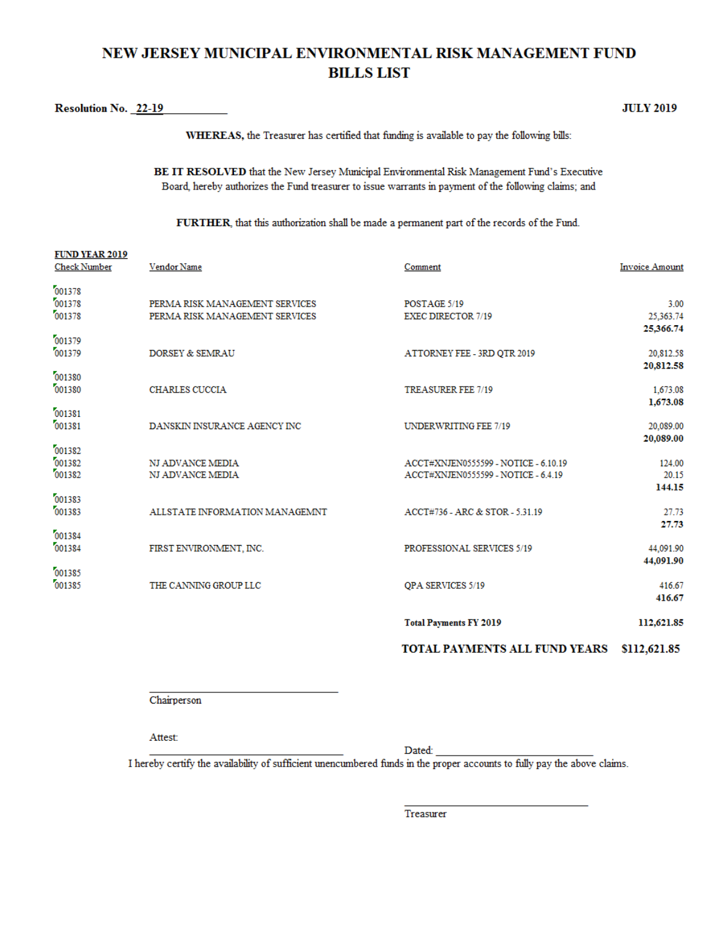# NEW JERSEY MUNICIPAL ENVIRONMENTAL RISK MANAGEMENT FUND **BILLS LIST**

Resolution No. 22-19

**JULY 2019** 

WHEREAS, the Treasurer has certified that funding is available to pay the following bills:

BE IT RESOLVED that the New Jersey Municipal Environmental Risk Management Fund's Executive Board, hereby authorizes the Fund treasurer to issue warrants in payment of the following claims; and

FURTHER, that this authorization shall be made a permanent part of the records of the Fund.

|                                              |                                                                  | <b>Total Payments FY 2019</b>                                               | 112,621.85                        |
|----------------------------------------------|------------------------------------------------------------------|-----------------------------------------------------------------------------|-----------------------------------|
| 001385<br>001385                             | THE CANNING GROUP LLC                                            | OPA SERVICES 5/19                                                           | 416.67<br>416.67                  |
| 001384<br>001384                             | FIRST ENVIRONMENT, INC.                                          | PROFESSIONAL SERVICES 5/19                                                  | 44,091.90<br>44,091.90            |
| 001383<br>001383                             | ALLSTATE INFORMATION MANAGEMNT                                   | ACCT#736 - ARC & STOR - 5.31.19                                             | 27.73<br>27.73                    |
| 001382<br>001382<br>001382                   | NJ ADVANCE MEDIA<br>NJ ADVANCE MEDIA                             | ACCT#XNJEN0555599 - NOTICE - 6.10.19<br>ACCT#XNJEN0555599 - NOTICE - 6.4.19 | 124.00<br>20.15<br>144.15         |
| 001381<br>001381                             | DANSKIN INSURANCE AGENCY INC                                     | <b>UNDERWRITING FEE 7/19</b>                                                | 20,089.00<br>20,089.00            |
| 001380<br>001380                             | <b>CHARLES CUCCIA</b>                                            | <b>TREASURER FEE 7/19</b>                                                   | 20,812.58<br>1,673.08<br>1,673.08 |
| 001379<br>001379                             | DORSEY & SEMRAU                                                  | ATTORNEY FEE - 3RD QTR 2019                                                 | 25,366.74<br>20,812.58            |
| 001378<br>001378<br>001378                   | PERMA RISK MANAGEMENT SERVICES<br>PERMA RISK MANAGEMENT SERVICES | POSTAGE 5/19<br><b>EXEC DIRECTOR 7/19</b>                                   | 3.00<br>25,363.74                 |
| <b>FUND YEAR 2019</b><br><b>Check Number</b> | Vendor Name                                                      | Comment                                                                     | <b>Invoice Amount</b>             |

#### TOTAL PAYMENTS ALL FUND YEARS \$112,621.85

Chairperson

Attest:

Dated:

I hereby certify the availability of sufficient unencumbered funds in the proper accounts to fully pay the above claims.

Treasurer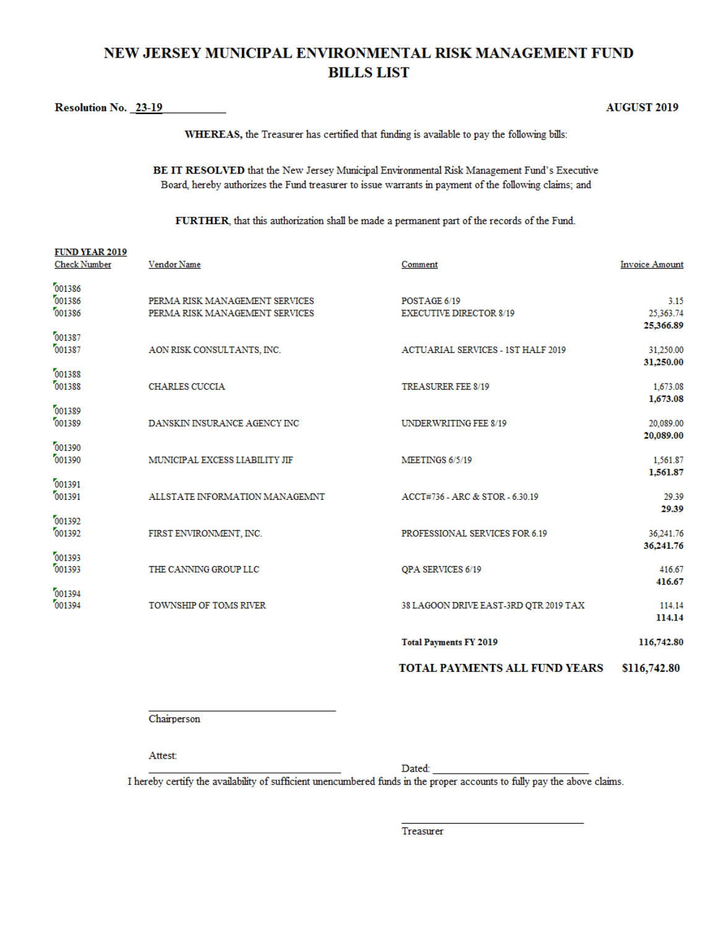# NEW JERSEY MUNICIPAL ENVIRONMENTAL RISK MANAGEMENT FUND **BILLS LIST**

**Resolution No. 23-19** 

**AUGUST 2019** 

WHEREAS, the Treasurer has certified that funding is available to pay the following bills:

BE IT RESOLVED that the New Jersey Municipal Environmental Risk Management Fund's Executive Board, hereby authorizes the Fund treasurer to issue warrants in payment of the following claims; and

FURTHER, that this authorization shall be made a permanent part of the records of the Fund.

|                                              |                                                                  | TOTAL PAYMENTS ALL FUND YEARS                  | \$116,742.80                      |
|----------------------------------------------|------------------------------------------------------------------|------------------------------------------------|-----------------------------------|
|                                              |                                                                  | <b>Total Payments FY 2019</b>                  | 116,742.80                        |
| 001394<br>001394                             | TOWNSHIP OF TOMS RIVER                                           | 38 LAGOON DRIVE EAST-3RD QTR 2019 TAX          | 114.14<br>114.14                  |
| 001393<br>001393                             | THE CANNING GROUP LLC                                            | <b>OPA SERVICES 6/19</b>                       | 416.67<br>416.67                  |
| 001392<br>001392                             | FIRST ENVIRONMENT, INC.                                          | PROFESSIONAL SERVICES FOR 6.19                 | 36,241.76<br>36,241.76            |
| 001391<br>001391                             | ALLSTATE INFORMATION MANAGEMNT                                   | ACCT#736 - ARC & STOR - 6.30.19                | 1,561.87<br>29.39<br>29.39        |
| 001390<br>001390                             | MUNICIPAL EXCESS LIABILITY JIF                                   | MEETINGS 6/5/19                                | 1,561.87                          |
| 001389<br>001389                             | DANSKIN INSURANCE AGENCY INC                                     | <b>UNDERWRITING FEE 8/19</b>                   | 20,089.00<br>20,089.00            |
| 001388<br>001388                             | <b>CHARLES CUCCIA</b>                                            | <b>TREASURER FEE 8/19</b>                      | 31,250.00<br>1,673.08<br>1,673.08 |
| 001387<br>001387                             | AON RISK CONSULTANTS, INC.                                       | <b>ACTUARIAL SERVICES - 1ST HALF 2019</b>      | 25,366.89<br>31,250.00            |
| 001386<br>001386<br>001386                   | PERMA RISK MANAGEMENT SERVICES<br>PERMA RISK MANAGEMENT SERVICES | POSTAGE 6/19<br><b>EXECUTIVE DIRECTOR 8/19</b> | 3.15<br>25,363.74                 |
| <b>FUND YEAR 2019</b><br><b>Check Number</b> | Vendor Name                                                      | Comment                                        | <b>Invoice Amount</b>             |

Chairperson

Attest:

Dated:

I hereby certify the availability of sufficient unencumbered funds in the proper accounts to fully pay the above claims.

Treasurer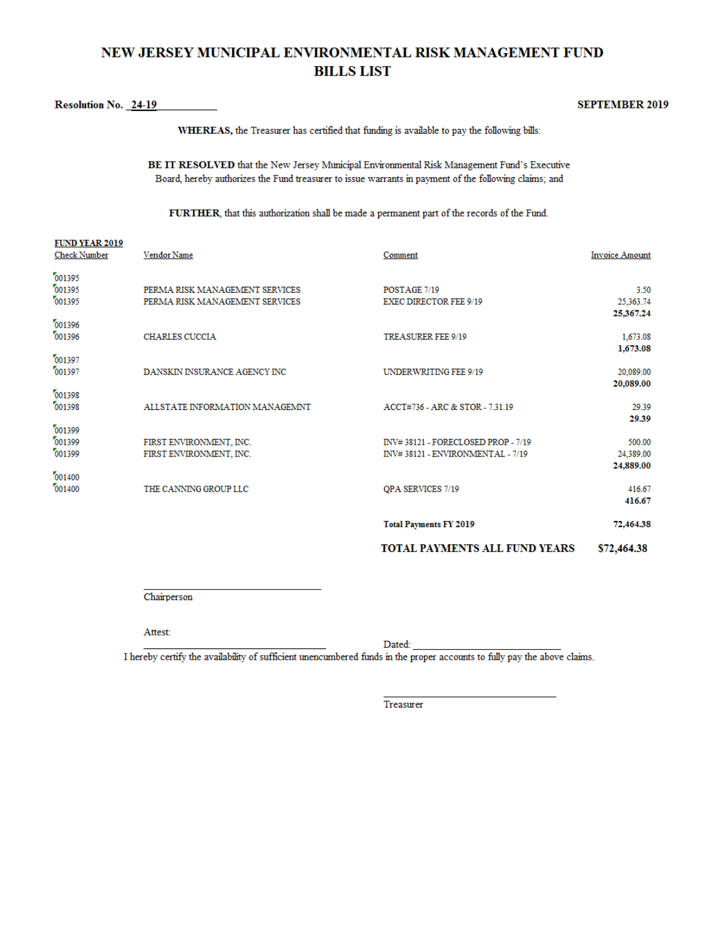# NEW JERSEY MUNICIPAL ENVIRONMENTAL RISK MANAGEMENT FUND **BILLS LIST**

#### Resolution No. 24-19

**FUND VEAD 5010** 

#### **SEPTEMBER 2019**

WHEREAS, the Treasurer has certified that funding is available to pay the following bills:

BE IT RESOLVED that the New Jersey Municipal Environmental Risk Management Fund's Executive Board, hereby authorizes the Fund treasurer to issue warrants in payment of the following claims; and

FURTHER, that this authorization shall be made a permanent part of the records of the Fund.

|                                              |                                                                  | <b>TOTAL PAYMENTS ALL FUND YEARS</b>                                   | \$72,464.38                        |
|----------------------------------------------|------------------------------------------------------------------|------------------------------------------------------------------------|------------------------------------|
|                                              |                                                                  | <b>Total Payments FY 2019</b>                                          | 72,464.38                          |
| 001400<br>001400                             | THE CANNING GROUP LLC                                            | QPA SERVICES 7/19                                                      | 416.67<br>416.67                   |
| 001399<br>001399<br>001399                   | FIRST ENVIRONMENT, INC.<br>FIRST ENVIRONMENT, INC.               | INV#38121 - FORECLOSED PROP - 7/19<br>INV#38121 - ENVIRONMENTAL - 7/19 | 500.00<br>24,389.00<br>24,889.00   |
| 001398<br>001398                             | ALLSTATE INFORMATION MANAGEMNT                                   | ACCT#736 - ARC & STOR - 7.31.19                                        | 29.39<br>29.39                     |
| 001397<br>001397                             | DANSKIN INSURANCE AGENCY INC                                     | <b>UNDERWRITING FEE 9/19</b>                                           | 1,673.08<br>20,089.00<br>20,089.00 |
| 001396<br>001396                             | <b>CHARLES CUCCIA</b>                                            | <b>TREASURER FEE 9/19</b>                                              | 25,367.24<br>1,673.08              |
| 001395<br>001395<br>001395                   | PERMA RISK MANAGEMENT SERVICES<br>PERMA RISK MANAGEMENT SERVICES | POSTAGE 7/19<br><b>EXEC DIRECTOR FEE 9/19</b>                          | 3.50<br>25,363.74                  |
| <b>FUND TEAR 2019</b><br><b>Check Number</b> | Vendor Name                                                      | Comment                                                                | <b>Invoice Amount</b>              |

Chairperson

#### Attest:

Dated:

I hereby certify the availability of sufficient unencumbered funds in the proper accounts to fully pay the above claims.

Treasurer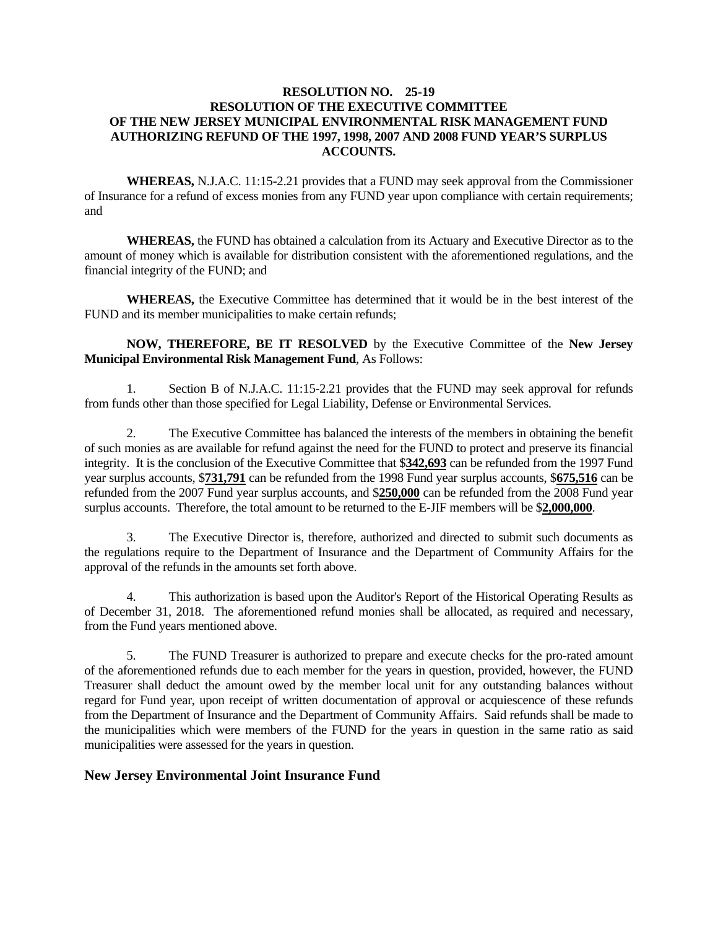#### **RESOLUTION NO. 25-19 RESOLUTION OF THE EXECUTIVE COMMITTEE OF THE NEW JERSEY MUNICIPAL ENVIRONMENTAL RISK MANAGEMENT FUND AUTHORIZING REFUND OF THE 1997, 1998, 2007 AND 2008 FUND YEAR'S SURPLUS ACCOUNTS.**

 **WHEREAS,** N.J.A.C. 11:15-2.21 provides that a FUND may seek approval from the Commissioner of Insurance for a refund of excess monies from any FUND year upon compliance with certain requirements; and

 **WHEREAS,** the FUND has obtained a calculation from its Actuary and Executive Director as to the amount of money which is available for distribution consistent with the aforementioned regulations, and the financial integrity of the FUND; and

 **WHEREAS,** the Executive Committee has determined that it would be in the best interest of the FUND and its member municipalities to make certain refunds;

#### **NOW, THEREFORE, BE IT RESOLVED** by the Executive Committee of the **New Jersey Municipal Environmental Risk Management Fund**, As Follows:

 1. Section B of N.J.A.C. 11:15-2.21 provides that the FUND may seek approval for refunds from funds other than those specified for Legal Liability, Defense or Environmental Services.

 2. The Executive Committee has balanced the interests of the members in obtaining the benefit of such monies as are available for refund against the need for the FUND to protect and preserve its financial integrity. It is the conclusion of the Executive Committee that \$**342,693** can be refunded from the 1997 Fund year surplus accounts, \$**731,791** can be refunded from the 1998 Fund year surplus accounts, \$**675,516** can be refunded from the 2007 Fund year surplus accounts, and \$**250,000** can be refunded from the 2008 Fund year surplus accounts. Therefore, the total amount to be returned to the E-JIF members will be \$**2,000,000**.

 3. The Executive Director is, therefore, authorized and directed to submit such documents as the regulations require to the Department of Insurance and the Department of Community Affairs for the approval of the refunds in the amounts set forth above.

 4. This authorization is based upon the Auditor's Report of the Historical Operating Results as of December 31, 2018. The aforementioned refund monies shall be allocated, as required and necessary, from the Fund years mentioned above.

 5. The FUND Treasurer is authorized to prepare and execute checks for the pro-rated amount of the aforementioned refunds due to each member for the years in question, provided, however, the FUND Treasurer shall deduct the amount owed by the member local unit for any outstanding balances without regard for Fund year, upon receipt of written documentation of approval or acquiescence of these refunds from the Department of Insurance and the Department of Community Affairs. Said refunds shall be made to the municipalities which were members of the FUND for the years in question in the same ratio as said municipalities were assessed for the years in question.

#### **New Jersey Environmental Joint Insurance Fund**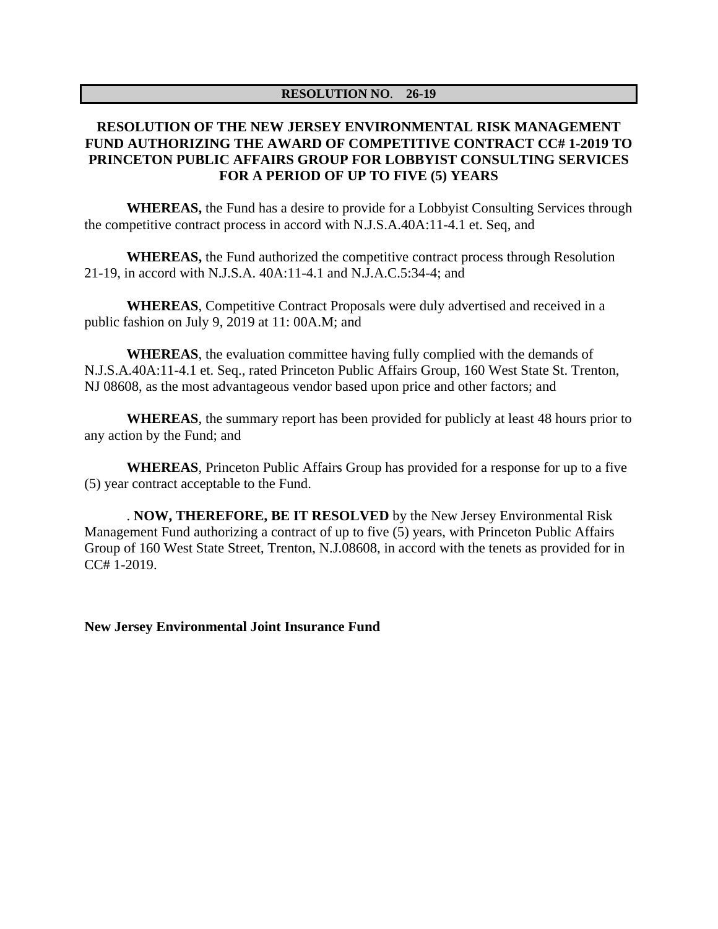#### **RESOLUTION NO**. **26-19**

# **RESOLUTION OF THE NEW JERSEY ENVIRONMENTAL RISK MANAGEMENT FUND AUTHORIZING THE AWARD OF COMPETITIVE CONTRACT CC# 1-2019 TO PRINCETON PUBLIC AFFAIRS GROUP FOR LOBBYIST CONSULTING SERVICES FOR A PERIOD OF UP TO FIVE (5) YEARS**

**WHEREAS,** the Fund has a desire to provide for a Lobbyist Consulting Services through the competitive contract process in accord with N.J.S.A.40A:11-4.1 et. Seq, and

**WHEREAS,** the Fund authorized the competitive contract process through Resolution 21-19, in accord with N.J.S.A. 40A:11-4.1 and N.J.A.C.5:34-4; and

**WHEREAS**, Competitive Contract Proposals were duly advertised and received in a public fashion on July 9, 2019 at 11: 00A.M; and

**WHEREAS**, the evaluation committee having fully complied with the demands of N.J.S.A.40A:11-4.1 et. Seq., rated Princeton Public Affairs Group, 160 West State St. Trenton, NJ 08608, as the most advantageous vendor based upon price and other factors; and

**WHEREAS**, the summary report has been provided for publicly at least 48 hours prior to any action by the Fund; and

**WHEREAS**, Princeton Public Affairs Group has provided for a response for up to a five (5) year contract acceptable to the Fund.

. **NOW, THEREFORE, BE IT RESOLVED** by the New Jersey Environmental Risk Management Fund authorizing a contract of up to five (5) years, with Princeton Public Affairs Group of 160 West State Street, Trenton, N.J.08608, in accord with the tenets as provided for in CC# 1-2019.

**New Jersey Environmental Joint Insurance Fund**